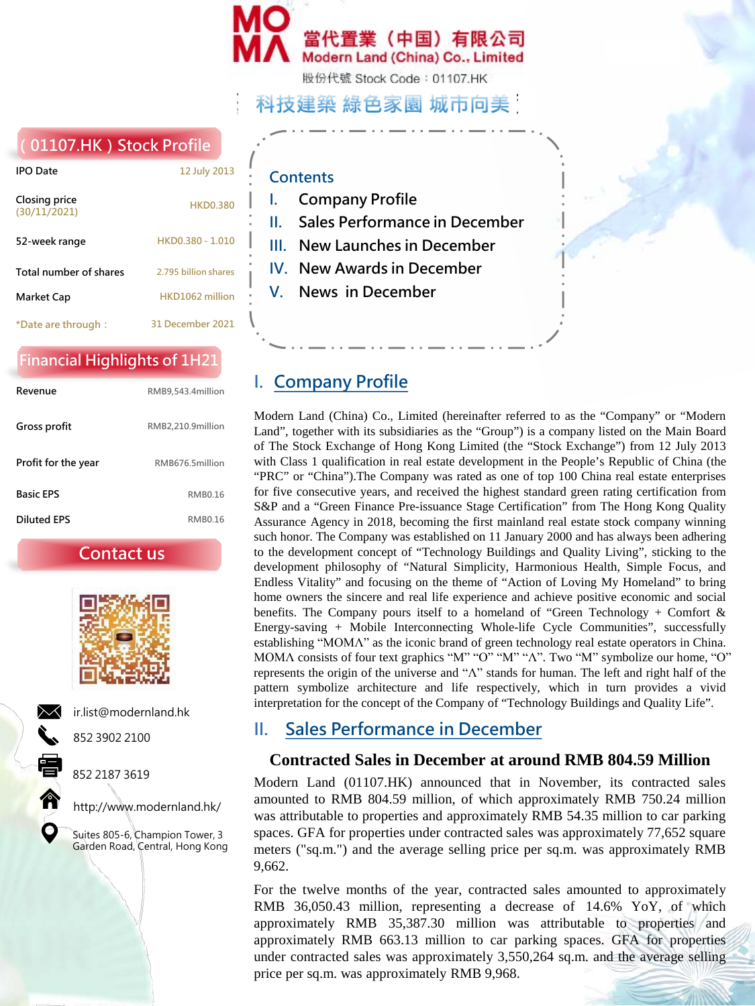

股份代號 Stock Code: 01107.HK

## 科技建築 綠色家園 城市向美

### **(01107.HK)Stock Profile**

| <b>IPO Date</b>               | 12 July 2013         |
|-------------------------------|----------------------|
| Closing price<br>(30/11/2021) | <b>HKD0.380</b>      |
| 52-week range                 | HKD0.380 - 1.010     |
| Total number of shares        | 2.795 billion shares |
| Market Cap                    | HKD1062 million      |
| *Date are through :           | 31 December 2021     |

### **Financial Highlights of 1H21**

| Revenue             | RMB9,543.4million |
|---------------------|-------------------|
| Gross profit        | RMB2,210.9million |
| Profit for the year | RMB676.5million   |
| <b>Basic FPS</b>    | <b>RMB0.16</b>    |
| <b>Diluted FPS</b>  | <b>RMB016</b>     |

**Contact us**



ir.list@modernland.hk



852 2187 3619

852 3902 2100

http://www.modernland.hk/

Suites 805-6, Champion Tower, 3 Garden Road, Central, Hong Kong

### **Contents**

- **I. Company Profile**
- **II. Sales Performance in December**
- **III. New Launches in December**
- **IV. New Awards in December**
- **V. News in December**

## **I. Company Profile**

Modern Land (China) Co., Limited (hereinafter referred to as the "Company" or "Modern Land", together with its subsidiaries as the "Group") is a company listed on the Main Board of The Stock Exchange of Hong Kong Limited (the "Stock Exchange") from 12 July 2013 with Class 1 qualification in real estate development in the People's Republic of China (the "PRC" or "China").The Company was rated as one of top 100 China real estate enterprises for five consecutive years, and received the highest standard green rating certification from S&P and a "Green Finance Pre-issuance Stage Certification" from The Hong Kong Quality Assurance Agency in 2018, becoming the first mainland real estate stock company winning such honor. The Company was established on 11 January 2000 and has always been adhering to the development concept of "Technology Buildings and Quality Living", sticking to the development philosophy of "Natural Simplicity, Harmonious Health, Simple Focus, and Endless Vitality" and focusing on the theme of "Action of Loving My Homeland" to bring home owners the sincere and real life experience and achieve positive economic and social benefits. The Company pours itself to a homeland of "Green Technology + Comfort  $\&$ Energy-saving + Mobile Interconnecting Whole-life Cycle Communities", successfully establishing "ΜΟΜΛ" as the iconic brand of green technology real estate operators in China. ΜΟΜΛ consists of four text graphics "Μ" "Ο" "Μ" "Λ". Two "Μ" symbolize our home, "Ο" represents the origin of the universe and "Λ" stands for human. The left and right half of the pattern symbolize architecture and life respectively, which in turn provides a vivid interpretation for the concept of the Company of "Technology Buildings and Quality Life".

### **II. Sales Performance in December**

### **Contracted Sales in December at around RMB 804.59 Million**

Modern Land (01107.HK) announced that in November, its contracted sales amounted to RMB 804.59 million, of which approximately RMB 750.24 million was attributable to properties and approximately RMB 54.35 million to car parking spaces. GFA for properties under contracted sales was approximately 77,652 square meters ("sq.m.") and the average selling price per sq.m. was approximately RMB 9,662.

For the twelve months of the year, contracted sales amounted to approximately RMB 36,050.43 million, representing a decrease of 14.6% YoY, of which approximately RMB 35,387.30 million was attributable to properties and approximately RMB 663.13 million to car parking spaces. GFA for properties under contracted sales was approximately 3,550,264 sq.m. and the average selling price per sq.m. was approximately RMB 9,968.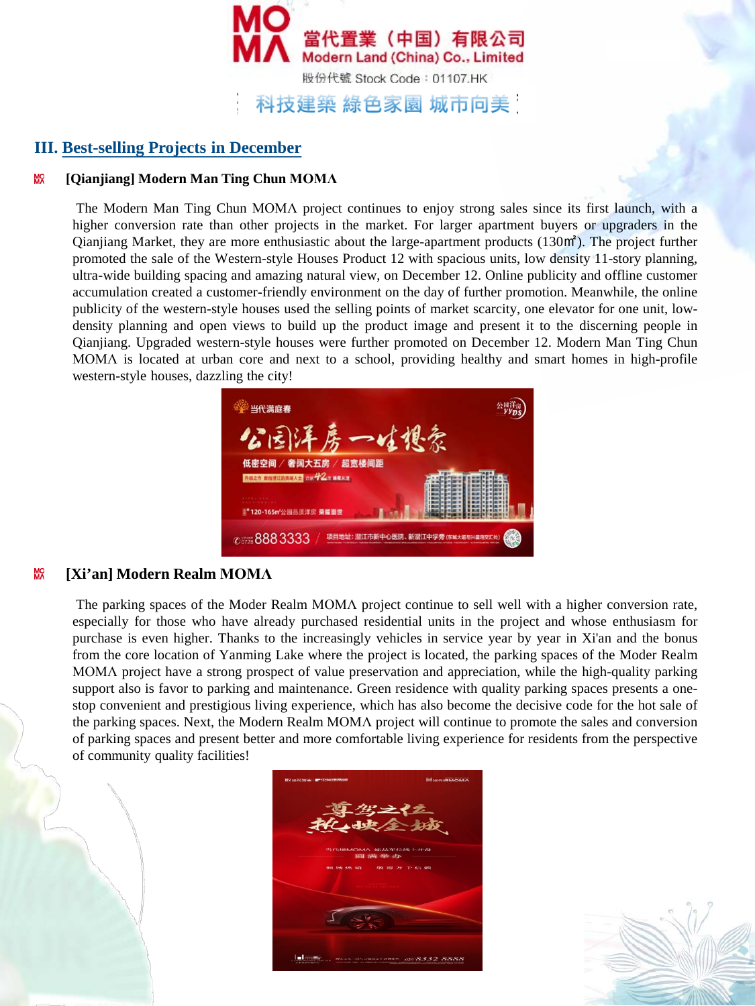

### **III. Best-selling Projects in December**

#### ۵Х **[Qianjiang] Modern Man Ting Chun MOMΛ**

The Modern Man Ting Chun MOMΛ project continues to enjoy strong sales since its first launch, with a higher conversion rate than other projects in the market. For larger apartment buyers or upgraders in the Qianjiang Market, they are more enthusiastic about the large-apartment products (130㎡). The project further promoted the sale of the Western-style Houses Product 12 with spacious units, low density 11-story planning, ultra-wide building spacing and amazing natural view, on December 12. Online publicity and offline customer accumulation created a customer-friendly environment on the day of further promotion. Meanwhile, the online publicity of the western-style houses used the selling points of market scarcity, one elevator for one unit, lowdensity planning and open views to build up the product image and present it to the discerning people in Qianjiang. Upgraded western-style houses were further promoted on December 12. Modern Man Ting Chun MOMΛ is located at urban core and next to a school, providing healthy and smart homes in high-profile western-style houses, dazzling the city!



#### мõ **[Xi'an] Modern Realm MOMΛ**

The parking spaces of the Moder Realm MOMΛ project continue to sell well with a higher conversion rate, especially for those who have already purchased residential units in the project and whose enthusiasm for purchase is even higher. Thanks to the increasingly vehicles in service year by year in Xi'an and the bonus from the core location of Yanming Lake where the project is located, the parking spaces of the Moder Realm MOMΛ project have a strong prospect of value preservation and appreciation, while the high-quality parking support also is favor to parking and maintenance. Green residence with quality parking spaces presents a onestop convenient and prestigious living experience, which has also become the decisive code for the hot sale of the parking spaces. Next, the Modern Realm MOMΛ project will continue to promote the sales and conversion of parking spaces and present better and more comfortable living experience for residents from the perspective of community quality facilities!



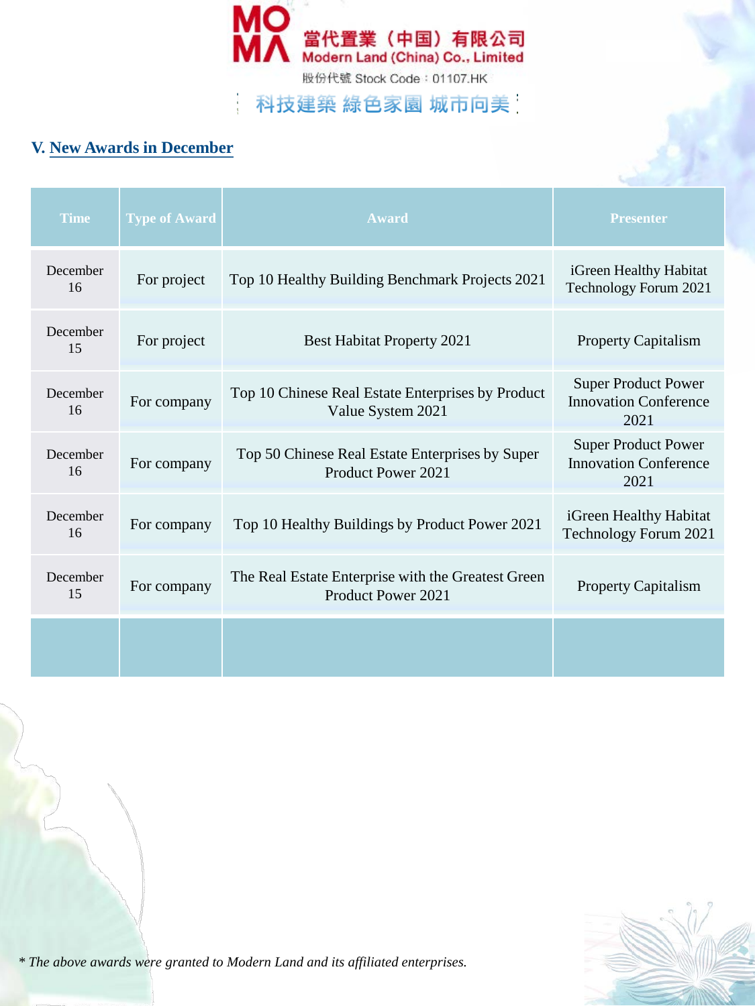

# 科技建築 綠色家園 城市向美

## **V. New Awards in December**

| <b>Time</b>    | <b>Type of Award</b> | Award                                                                    | <b>Presenter</b>                                                   |
|----------------|----------------------|--------------------------------------------------------------------------|--------------------------------------------------------------------|
| December<br>16 | For project          | Top 10 Healthy Building Benchmark Projects 2021                          | iGreen Healthy Habitat<br>Technology Forum 2021                    |
| December<br>15 | For project          | <b>Best Habitat Property 2021</b>                                        | <b>Property Capitalism</b>                                         |
| December<br>16 | For company          | Top 10 Chinese Real Estate Enterprises by Product<br>Value System 2021   | <b>Super Product Power</b><br><b>Innovation Conference</b><br>2021 |
| December<br>16 | For company          | Top 50 Chinese Real Estate Enterprises by Super<br>Product Power 2021    | <b>Super Product Power</b><br><b>Innovation Conference</b><br>2021 |
| December<br>16 | For company          | Top 10 Healthy Buildings by Product Power 2021                           | iGreen Healthy Habitat<br>Technology Forum 2021                    |
| December<br>15 | For company          | The Real Estate Enterprise with the Greatest Green<br>Product Power 2021 | <b>Property Capitalism</b>                                         |
|                |                      |                                                                          |                                                                    |



*\* The above awards were granted to Modern Land and its affiliated enterprises.*